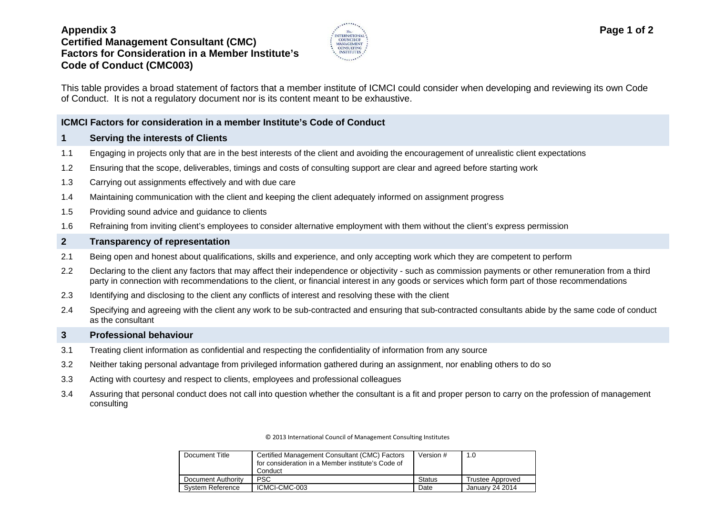# **Appendix 3 Certified Management Consultant (CMC) Factors for Consideration in a Member Institute's Code of Conduct (CMC003)**



This table provides a broad statement of factors that a member institute of ICMCI could consider when developing and reviewing its own Code of Conduct. It is not a regulatory document nor is its content meant to be exhaustive.

### **ICMCI Factors for consideration in a member Institute's Code of Conduct**

#### **1 Serving the interests of Clients**

- 1.1 Engaging in projects only that are in the best interests of the client and avoiding the encouragement of unrealistic client expectations
- 1.2 Ensuring that the scope, deliverables, timings and costs of consulting support are clear and agreed before starting work
- 1.3 Carrying out assignments effectively and with due care
- 1.4 Maintaining communication with the client and keeping the client adequately informed on assignment progress
- 1.5 Providing sound advice and guidance to clients
- 1.6 Refraining from inviting client's employees to consider alternative employment with them without the client's express permission

### **2 Transparency of representation**

- 2.1 Being open and honest about qualifications, skills and experience, and only accepting work which they are competent to perform
- 2.2 Declaring to the client any factors that may affect their independence or objectivity such as commission payments or other remuneration from a third party in connection with recommendations to the client, or financial interest in any goods or services which form part of those recommendations
- 2.3 Identifying and disclosing to the client any conflicts of interest and resolving these with the client
- 2.4 Specifying and agreeing with the client any work to be sub-contracted and ensuring that sub-contracted consultants abide by the same code of conduct as the consultant

#### **3 Professional behaviour**

- 3.1 Treating client information as confidential and respecting the confidentiality of information from any source
- 3.2 Neither taking personal advantage from privileged information gathered during an assignment, nor enabling others to do so
- 3.3 Acting with courtesy and respect to clients, employees and professional colleagues
- 3.4 Assuring that personal conduct does not call into question whether the consultant is a fit and proper person to carry on the profession of management consulting

© 2013 International Council of Management Consulting Institutes

| Document Title     | Certified Management Consultant (CMC) Factors<br>for consideration in a Member institute's Code of<br>Conduct | Version #     | 1.0                     |
|--------------------|---------------------------------------------------------------------------------------------------------------|---------------|-------------------------|
| Document Authority | <b>PSC</b>                                                                                                    | <b>Status</b> | <b>Trustee Approved</b> |
| System Reference   | ICMCI-CMC-003                                                                                                 | Date          | January 24 2014         |